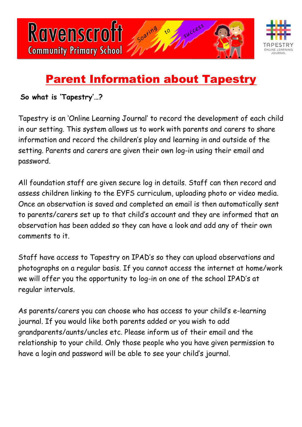



## Parent Information about Tapestry

**So what is 'Tapestry'…?** 

Tapestry is an 'Online Learning Journal' to record the development of each child in our setting. This system allows us to work with parents and carers to share information and record the children's play and learning in and outside of the setting. Parents and carers are given their own log-in using their email and password.

All foundation staff are given secure log in details. Staff can then record and assess children linking to the EYFS curriculum, uploading photo or video media. Once an observation is saved and completed an email is then automatically sent to parents/carers set up to that child's account and they are informed that an observation has been added so they can have a look and add any of their own comments to it.

Staff have access to Tapestry on IPAD's so they can upload observations and photographs on a regular basis. If you cannot access the internet at home/work we will offer you the opportunity to log-in on one of the school IPAD's at regular intervals.

As parents/carers you can choose who has access to your child's e-learning journal. If you would like both parents added or you wish to add grandparents/aunts/uncles etc. Please inform us of their email and the relationship to your child. Only those people who you have given permission to have a login and password will be able to see your child's journal.